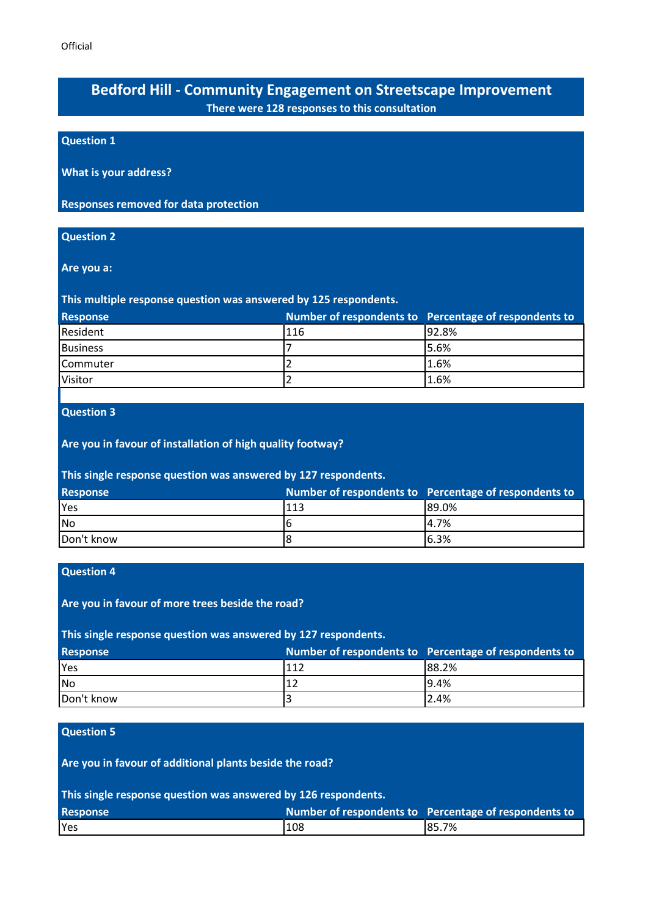# **Bedford Hill - Community Engagement on Streetscape Improvement There were 128 responses to this consultation**

# **Question 1**

**What is your address?**

**Responses removed for data protection**

### **Question 2**

**Are you a:**

**This multiple response question was answered by 125 respondents.**

| <b>Response</b>   |     | Number of respondents to Percentage of respondents to |
|-------------------|-----|-------------------------------------------------------|
| Resident          | 116 | 92.8%                                                 |
| <b>Business</b>   |     | 5.6%                                                  |
| <b>I</b> Commuter |     | 1.6%                                                  |
| <b>IVisitor</b>   |     | 1.6%                                                  |

# **Question 3**

## **Are you in favour of installation of high quality footway?**

### **This single response question was answered by 127 respondents.**

| <b>Response</b> |     | Number of respondents to Percentage of respondents to |
|-----------------|-----|-------------------------------------------------------|
| <b>Yes</b>      | 113 | 89.0%                                                 |
| No.             | 16  | 4.7%                                                  |
| Don't know      | 18  | 6.3%                                                  |

# **Question 4**

**Are you in favour of more trees beside the road?**

# **This single response question was answered by 127 respondents.**

| <b>Response</b> |                 | Number of respondents to Percentage of respondents to |
|-----------------|-----------------|-------------------------------------------------------|
| <b>Yes</b>      | 111             | 88.2%                                                 |
| No              | 11 <sup>2</sup> | 9.4%                                                  |
| Don't know      | 3               | 2.4%                                                  |

#### **Question 5**

**Are you in favour of additional plants beside the road?**

**This single response question was answered by 126 respondents.**

| <b>Response</b> |     | Number of respondents to Percentage of respondents to |
|-----------------|-----|-------------------------------------------------------|
| <b>l</b> Yes    | 108 | 85.7%                                                 |